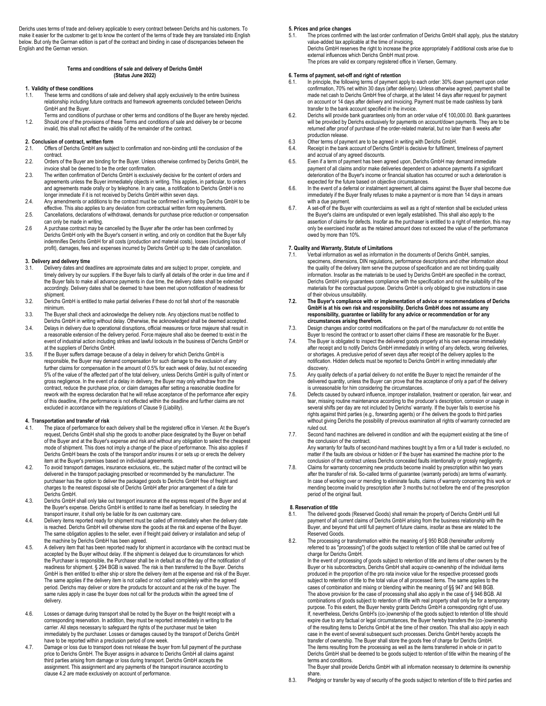Derichs uses terms of trade and delivery applicable to every contract between Derichs and his customers. To make it easier for the customer to get to know the content of the terms of trade they are translated into English below. But only the German edition is part of the contract and binding in case of discrepancies between the English and the German version.

### **Terms and conditions of sale and delivery of Derichs GmbH (Status June 2022)**

- **1. Validity of these conditions** 1.1. These terms and conditions of sale and delivery shall apply exclusively to the entire business relationship including future contracts and framework agreements concluded between Derichs GmbH and the Buyer.
- Terms and conditions of purchase or other terms and conditions of the Buyer are hereby rejected. 1.2. Should one of the provisions of these Terms and conditions of sale and delivery be or become invalid, this shall not affect the validity of the remainder of the contract.

#### **2. Conclusion of contract, written form**

- Offers of Derichs GmbH are subject to confirmation and non-binding until the conclusion of the contract.
- 2.2. Orders of the Buyer are binding for the Buyer. Unless otherwise confirmed by Derichs GmbH, the invoice shall be deemed to be the order confirmation.
- 2.3. The written confirmation of Derichs GmbH is exclusively decisive for the content of orders and agreements unless the Buyer immediately objects in writing. This applies, in particular, to orders and agreements made orally or by telephone. In any case, a notification to Derichs GmbH is no longer immediate if it is not received by Derichs GmbH within seven days.
- 2.4. Any amendments or additions to the contract must be confirmed in writing by Derichs GmbH to be effective. This also applies to any deviation from contractual written form requirements.
- 2.5. Cancellations, declarations of withdrawal, demands for purchase price reduction or compensation can only be made in writing.
- 2.6 A purchase contract may be cancelled by the Buyer after the order has been confirmed by Derichs GmbH only with the Buyer's consent in writing, and only on condition that the Buyer fully indemnifies Derichs GmbH for all costs (production and material costs), losses (including loss of profit), damages, fees and expenses incurred by Derichs GmbH up to the date of cancellation.

# **3. Delivery and delivery time**

- Delivery dates and deadlines are approximate dates and are subject to proper, complete, and timely delivery by our suppliers. If the Buyer fails to clarify all details of the order in due time and if the Buyer fails to make all advance payments in due time, the delivery dates shall be extended accordingly. Delivery dates shall be deemed to have been met upon notification of readiness for shipment.
- 3.2. Derichs GmbH is entitled to make partial deliveries if these do not fall short of the reasonable minimum.
- 3.3. The Buyer shall check and acknowledge the delivery note. Any objections must be notified to Derichs GmbH in writing without delay. Otherwise, the acknowledged shall be deemed accepted.
- 3.4. Delays in delivery due to operational disruptions, official measures or force majeure shall result in a reasonable extension of the delivery period. Force majeure shall also be deemed to exist in the event of industrial action including strikes and lawful lockouts in the business of Derichs GmbH or at the suppliers of Derichs GmbH.
- 3.5. If the Buyer suffers damage because of a delay in delivery for which Derichs GmbH is responsible, the Buyer may demand compensation for such damage to the exclusion of any further claims for compensation in the amount of 0.5% for each week of delay, but not exceeding 5% of the value of the affected part of the total delivery, unless Derichs GmbH is guilty of intent or gross negligence. In the event of a delay in delivery, the Buyer may only withdraw from the contract, reduce the purchase price, or claim damages after setting a reasonable deadline for rework with the express declaration that he will refuse acceptance of the performance after expiry of this deadline, if the performance is not effected within the deadline and further claims are not excluded in accordance with the regulations of Clause 9 (Liability).

#### **4. Transportation and transfer of risk**

- 4.1. The place of performance for each delivery shall be the registered office in Viersen. At the Buyer's request, Derichs GmbH shall ship the goods to another place designated by the Buyer on behalf of the Buyer and at the Buyer's expense and risk and without any obligation to select the cheapest mode of shipment. This does not imply a change of the place of performance. This also applies if Derichs GmbH bears the costs of the transport and/or insures it or sets up or erects the delivery item at the Buyer's premises based on individual agreements.
- 4.2. To avoid transport damages, insurance exclusions, etc., the subject matter of the contract will be delivered in the transport packaging prescribed or recommended by the manufacturer. The purchaser has the option to deliver the packaged goods to Derichs GmbH free of freight and charges to the nearest disposal site of Derichs GmbH after prior arrangement of a date for Derichs GmbH.
- 4.3. Derichs GmbH shall only take out transport insurance at the express request of the Buyer and at the Buyer's expense. Derichs GmbH is entitled to name itself as beneficiary. In selecting the transport insurer, it shall only be liable for its own customary care.
- 4.4. Delivery items reported ready for shipment must be called off immediately when the delivery date is reached. Derichs GmbH will otherwise store the goods at the risk and expense of the Buyer. The same obligation applies to the seller, even if freight paid delivery or installation and setup of the machine by Derichs GmbH has been agreed.
- 4.5. A delivery item that has been reported ready for shipment in accordance with the contract must be accepted by the Buyer without delay. If the shipment is delayed due to circumstances for which the Purchaser is responsible, the Purchaser shall be in default as of the day of the notification of readiness for shipment. § 294 BGB is waived. The risk is then transferred to the Buyer. Derichs GmbH is then entitled to either ship or store the delivery item at the expense and risk of the Buyer. The same applies if the delivery item is not called or not called completely within the agreed period. Derichs may deliver or store the products for account and at the risk of the buyer. The same rules apply in case the buyer does not call for the products within the agreed time of delivery.
- 4.6. Losses or damage during transport shall be noted by the Buyer on the freight receipt with a corresponding reservation. In addition, they must be reported immediately in writing to the carrier. All steps necessary to safeguard the rights of the purchaser must be taken immediately by the purchaser. Losses or damages caused by the transport of Derichs GmbH have to be reported within a preclusion period of one week.
- 4.7. Damage or loss due to transport does not release the buyer from full payment of the purchase price to Derichs GmbH. The Buyer assigns in advance to Derichs GmbH all claims against third parties arising from damage or loss during transport. Derichs GmbH accepts the assignment. This assignment and any payments of the transport insurance according to clause 4.2 are made exclusively on account of performance.

#### **5. Prices and price changes**

5.1. The prices confirmed with the last order confirmation of Derichs GmbH shall apply, plus the statutory value-added tax applicable at the time of invoicing. Derichs GmbH reserves the right to increase the price appropriately if additional costs arise due to external influences which Derichs GmbH must prove. The prices are valid ex company registered office in Viersen, Germany.

#### **6. Terms of payment, set-off and right of retention**

- In principle, the following terms of payment apply to each order: 30% down payment upon order confirmation, 70% net within 30 days (after delivery). Unless otherwise agreed, payment shall be made net cash to Derichs GmbH free of charge, at the latest 14 days after request for payment on account or 14 days after delivery and invoicing. Payment must be made cashless by bank transfer to the bank account specified in the invoice.
- 6.2. Derichs will provide bank guarantees only from an order value of € 100,000.00. Bank guarantees will be provided by Derichs exclusively for payments on account/down payments. They are to be returned after proof of purchase of the order-related material, but no later than 8 weeks after production release.
- 6.3 Other terms of payment are to be agreed in writing with Derichs GmbH.<br>6.4. Receipt in the bank account of Derichs GmbH is decisive for fulfilment.
- Receipt in the bank account of Derichs GmbH is decisive for fulfilment, timeliness of payment and accrual of any agreed discounts.
- 6.5. Even if a term of payment has been agreed upon, Derichs GmbH may demand immediate payment of all claims and/or make deliveries dependent on advance payments if a significant deterioration of the Buyer's income or financial situation has occurred or such a deterioration is expected for the future based on objective circumstances.
- 6.6. In the event of a deferral or instalment agreement, all claims against the Buyer shall become due immediately if the Buyer finally refuses to make a payment or is more than 14 days in arrears with a due payment.
- 6.7. A set-off of the Buyer with counterclaims as well as a right of retention shall be excluded unless<br>the Buyer's claims are undisputed or even legally established. This shall also apply to the<br>assertion of claims for de only be exercised insofar as the retained amount does not exceed the value of the performance owed by more than 10%.

## **7. Quality and Warranty, Statute of Limitations**

- 7.1. Verbal information as well as information in the documents of Derichs GmbH, samples, specimens, dimensions, DIN regulations, performance descriptions and other information about the quality of the delivery item serve the purpose of specification and are not binding quality information. Insofar as the materials to be used by Derichs GmbH are specified in the contract, Derichs GmbH only guarantees compliance with the specification and not the suitability of the materials for the contractual purpose. Derichs GmbH is only obliged to give instructions in case of their obvious unsuitability.
- **7.2. The Buyer's compliance with or implementation of advice or recommendations of Derichs GmbH is at his own risk and responsibility. Derichs GmbH does not assume any responsibility, guarantee or liability for any advice or recommendation or for any circumstances arising therefrom.**
- 7.3. Design changes and/or control modifications on the part of the manufacturer do not entitle the Buyer to rescind the contract or to assert other claims if these are reasonable for the Buyer.
- 7.4. The Buyer is obligated to inspect the delivered goods properly at his own expense immediately after receipt and to notify Derichs GmbH immediately in writing of any defects, wrong deliveries, or shortages. A preclusive period of seven days after receipt of the delivery applies to the notification. Hidden defects must be reported to Derichs GmbH in writing immediately after discovery.
- 7.5. Any quality defects of a partial delivery do not entitle the Buyer to reject the remainder of the delivered quantity, unless the Buyer can prove that the acceptance of only a part of the delivery is unreasonable for him considering the circumstances.
- 7.6. Defects caused by outward influence, improper installation, treatment or operation, fair wear, and tear, missing routine maintenance according to the producer's description, corrosion or usage in several shifts per day are not included by Derichs' warranty. If the buyer fails to exercise his rights against third parties (e.g., forwarding agents) or if he delivers the goods to third parties without giving Derichs the possibility of previous examination all rights of warranty connected are ruled out.
- 7.7. Second hand machines are delivered in condition and with the equipment existing at the time of the conclusion of the contract. Any warranty for faults of second-hand machines bought by a firm or a full trader is excluded, no matter if the faults are obvious or hidden or if the buyer has examined the machine prior to the conclusion of the contract unless Derichs concealed faults intentionally or grossly negligently.
- 7.8. Claims for warranty concerning new products become invalid by prescription within two years after the transfer of risk. So-called terms of guarantee (warranty periods) are terms of warranty. In case of working over or mending to eliminate faults, claims of warranty concerning this work or mending become invalid by prescription after 3 months but not before the end of the prescription period of the original fault.

#### **8. Reservation of title**

- 8.1. The delivered goods (Reserved Goods) shall remain the property of Derichs GmbH until full payment of all current claims of Derichs GmbH arising from the business relationship with the Buyer, and beyond that until full payment of future claims, insofar as these are related to the Reserved Goods.
- 8.2. The processing or transformation within the meaning of § 950 BGB (hereinafter uniformly referred to as "processing") of the goods subject to retention of title shall be carried out free of charge for Derichs GmbH.

In the event of processing of goods subject to retention of title and items of other owners by the Buyer or his subcontractors, Derichs GmbH shall acquire co-ownership of the individual items produced in the proportion of the pro rata invoice value for the respective processed goods subject to retention of title to the total value of all processed items. The same applies to the cases of combination and mixing or blending within the meaning of §§ 947 and 948 BGB. The above provision for the case of processing shall also apply in the case of § 946 BGB. All combinations of goods subject to retention of title with real property shall only be for a temporary purpose. To this extent, the Buyer hereby grants Derichs GmbH a corresponding right of use. If, nevertheless, Derichs GmbH's (co-)ownership of the goods subject to retention of title should expire due to any factual or legal circumstances, the Buyer hereby transfers the (co-)ownership of the resulting items to Derichs GmbH at the time of their creation. This shall also apply in each case in the event of several subsequent such processes. Derichs GmbH hereby accepts the transfer of ownership. The Buyer shall store the goods free of charge for Derichs GmbH. The items resulting from the processing as well as the items transferred in whole or in part to Derichs GmbH shall be deemed to be goods subject to retention of title within the meaning of the terms and conditions.

The Buyer shall provide Derichs GmbH with all information necessary to determine its ownership share.

8.3. Pledging or transfer by way of security of the goods subject to retention of title to third parties and